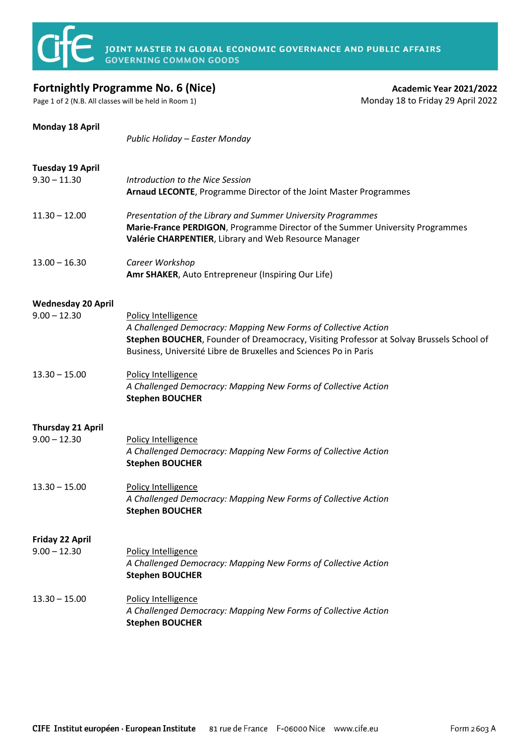

## **Fortnightly Programme No. 6 (Nice) Academic Year 2021/2022 Academic Year 2021/2022**

Page 1 of 2 (N.B. All classes will be held in Room 1) Monday 18 to Friday 29 April 2022

| <b>Monday 18 April</b>                      | Public Holiday - Easter Monday                                                                                                                                                                                                                        |
|---------------------------------------------|-------------------------------------------------------------------------------------------------------------------------------------------------------------------------------------------------------------------------------------------------------|
| <b>Tuesday 19 April</b><br>$9.30 - 11.30$   | Introduction to the Nice Session<br>Arnaud LECONTE, Programme Director of the Joint Master Programmes                                                                                                                                                 |
| $11.30 - 12.00$                             | Presentation of the Library and Summer University Programmes<br>Marie-France PERDIGON, Programme Director of the Summer University Programmes<br>Valérie CHARPENTIER, Library and Web Resource Manager                                                |
| $13.00 - 16.30$                             | Career Workshop<br>Amr SHAKER, Auto Entrepreneur (Inspiring Our Life)                                                                                                                                                                                 |
| <b>Wednesday 20 April</b><br>$9.00 - 12.30$ | Policy Intelligence<br>A Challenged Democracy: Mapping New Forms of Collective Action<br>Stephen BOUCHER, Founder of Dreamocracy, Visiting Professor at Solvay Brussels School of<br>Business, Université Libre de Bruxelles and Sciences Po in Paris |
| $13.30 - 15.00$                             | Policy Intelligence<br>A Challenged Democracy: Mapping New Forms of Collective Action<br><b>Stephen BOUCHER</b>                                                                                                                                       |
| <b>Thursday 21 April</b><br>$9.00 - 12.30$  | Policy Intelligence<br>A Challenged Democracy: Mapping New Forms of Collective Action<br><b>Stephen BOUCHER</b>                                                                                                                                       |
| $13.30 - 15.00$                             | Policy Intelligence<br>A Challenged Democracy: Mapping New Forms of Collective Action<br><b>Stephen BOUCHER</b>                                                                                                                                       |
| <b>Friday 22 April</b><br>$9.00 - 12.30$    | Policy Intelligence<br>A Challenged Democracy: Mapping New Forms of Collective Action<br><b>Stephen BOUCHER</b>                                                                                                                                       |
| $13.30 - 15.00$                             | Policy Intelligence<br>A Challenged Democracy: Mapping New Forms of Collective Action<br><b>Stephen BOUCHER</b>                                                                                                                                       |